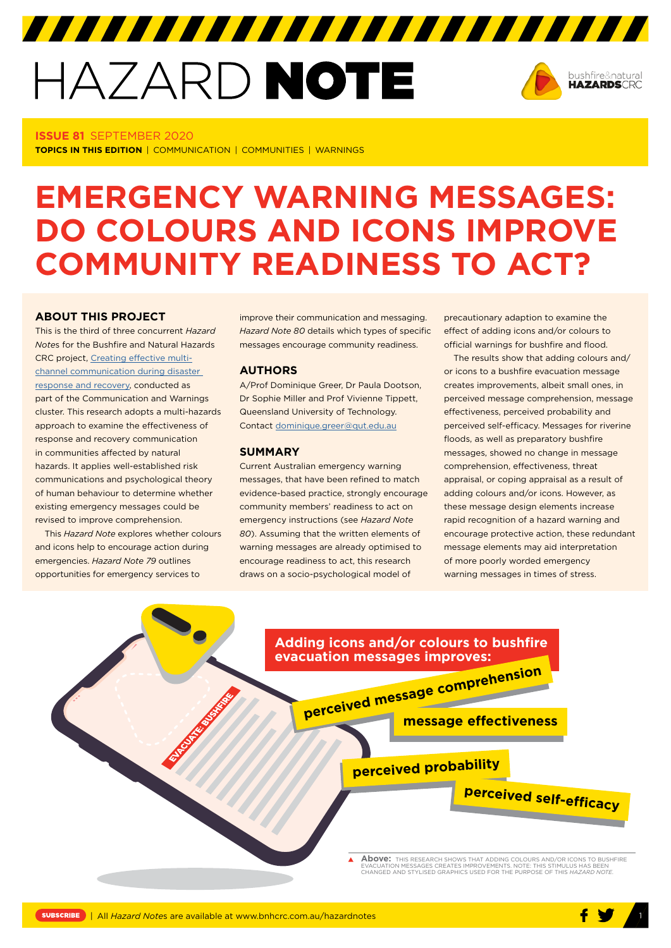# HAZARD NOTE



#### **ISSUE 81** SEPTEMBER 2020

**TOPICS IN THIS EDITION** | COMMUNICATION | COMMUNITIES | WARNINGS

## **EMERGENCY WARNING MESSAGES: DO COLOURS AND ICONS IMPROVE COMMUNITY READINESS TO ACT?**

#### **ABOUT THIS PROJECT**

This is the third of three concurrent *Hazard Note*s for the Bushfire and Natural Hazards CRC project, [Creating effective multi](https://www.bnhcrc.com.au/research/hazard-resilience/239)[channel communication during disaster](https://www.bnhcrc.com.au/research/hazard-resilience/239)  [response and recovery,](https://www.bnhcrc.com.au/research/hazard-resilience/239) conducted as part of the Communication and Warnings cluster. This research adopts a multi-hazards approach to examine the effectiveness of response and recovery communication in communities affected by natural hazards. It applies well-established risk communications and psychological theory of human behaviour to determine whether existing emergency messages could be revised to improve comprehension.

This *Hazard Note* explores whether colours and icons help to encourage action during emergencies. *Hazard Note 79* outlines opportunities for emergency services to

improve their communication and messaging. *Hazard Note 80* details which types of specific messages encourage community readiness.

#### **AUTHORS**

A/Prof Dominique Greer, Dr Paula Dootson, Dr Sophie Miller and Prof Vivienne Tippett, Queensland University of Technology. Contact dominique.greer@qut.edu.au

#### **SUMMARY**

Current Australian emergency warning messages, that have been refined to match evidence-based practice, strongly encourage community members' readiness to act on emergency instructions (see *Hazard Note 80*). Assuming that the written elements of warning messages are already optimised to encourage readiness to act, this research draws on a socio-psychological model of

precautionary adaption to examine the effect of adding icons and/or colours to official warnings for bushfire and flood.

The results show that adding colours and/ or icons to a bushfire evacuation message creates improvements, albeit small ones, in perceived message comprehension, message effectiveness, perceived probability and perceived self-efficacy. Messages for riverine floods, as well as preparatory bushfire messages, showed no change in message comprehension, effectiveness, threat appraisal, or coping appraisal as a result of adding colours and/or icons. However, as these message design elements increase rapid recognition of a hazard warning and encourage protective action, these redundant message elements may aid interpretation of more poorly worded emergency warning messages in times of stress.

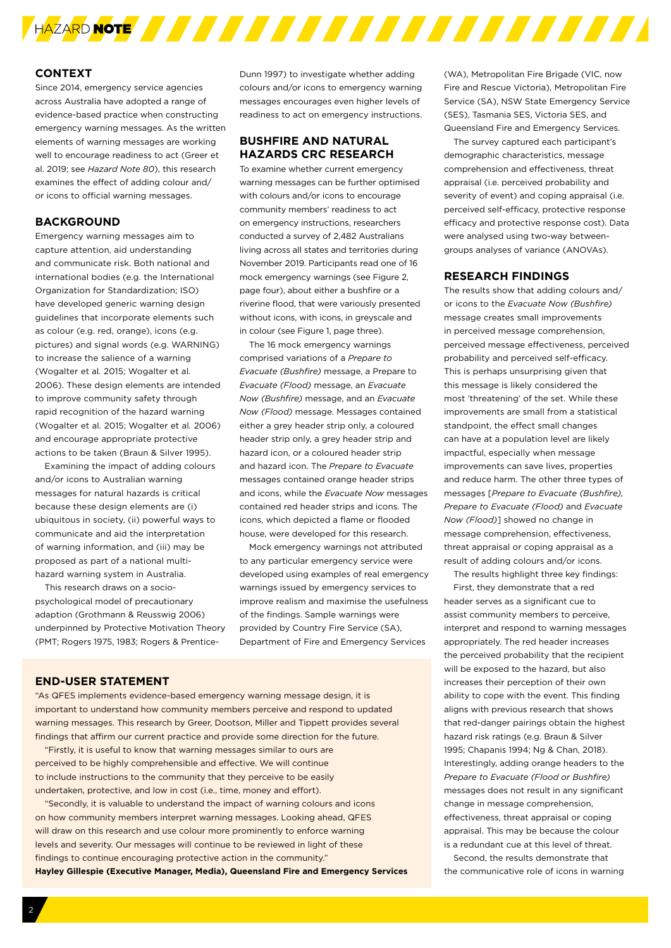

#### **CONTEXT**

Since 2014, emergency service agencies across Australia have adopted a range of evidence-based practice when constructing emergency warning messages. As the written elements of warning messages are working well to encourage readiness to act (Greer et al. 2019; see *Hazard Note 80*), this research examines the effect of adding colour and/ or icons to official warning messages.

#### **BACKGROUND**

Emergency warning messages aim to capture attention, aid understanding and communicate risk. Both national and international bodies (e.g. the International Organization for Standardization; ISO) have developed generic warning design guidelines that incorporate elements such as colour (e.g. red, orange), icons (e.g. pictures) and signal words (e.g. WARNING) to increase the salience of a warning (Wogalter et al*.* 2015; Wogalter et al*.* 2006). These design elements are intended to improve community safety through rapid recognition of the hazard warning (Wogalter et al*.* 2015; Wogalter et al*.* 2006) and encourage appropriate protective actions to be taken (Braun & Silver 1995).

Examining the impact of adding colours and/or icons to Australian warning messages for natural hazards is critical because these design elements are (i) ubiquitous in society, (ii) powerful ways to communicate and aid the interpretation of warning information, and (iii) may be proposed as part of a national multihazard warning system in Australia.

This research draws on a sociopsychological model of precautionary adaption (Grothmann & Reusswig 2006) underpinned by Protective Motivation Theory (PMT; Rogers 1975, 1983; Rogers & PrenticeDunn 1997) to investigate whether adding colours and/or icons to emergency warning messages encourages even higher levels of readiness to act on emergency instructions.

#### **BUSHFIRE AND NATURAL HAZARDS CRC RESEARCH**

To examine whether current emergency warning messages can be further optimised with colours and/or icons to encourage community members' readiness to act on emergency instructions, researchers conducted a survey of 2,482 Australians living across all states and territories during November 2019. Participants read one of 16 mock emergency warnings (see Figure 2, page four), about either a bushfire or a riverine flood, that were variously presented without icons, with icons, in greyscale and in colour (see Figure 1, page three).

The 16 mock emergency warnings comprised variations of a *Prepare to Evacuate (Bushfire)* message, a Prepare to *Evacuate (Flood)* message, an *Evacuate Now (Bushfire)* message, and an *Evacuate Now (Flood)* message. Messages contained either a grey header strip only, a coloured header strip only, a grey header strip and hazard icon, or a coloured header strip and hazard icon. The *Prepare to Evacuate* messages contained orange header strips and icons, while the *Evacuate Now* messages contained red header strips and icons. The icons, which depicted a flame or flooded house, were developed for this research.

Mock emergency warnings not attributed to any particular emergency service were developed using examples of real emergency warnings issued by emergency services to improve realism and maximise the usefulness of the findings. Sample warnings were provided by Country Fire Service (SA), Department of Fire and Emergency Services

#### **END-USER STATEMENT**

"As QFES implements evidence-based emergency warning message design, it is important to understand how community members perceive and respond to updated warning messages. This research by Greer, Dootson, Miller and Tippett provides several findings that affirm our current practice and provide some direction for the future.

"Firstly, it is useful to know that warning messages similar to ours are perceived to be highly comprehensible and effective. We will continue to include instructions to the community that they perceive to be easily undertaken, protective, and low in cost (i.e., time, money and effort).

"Secondly, it is valuable to understand the impact of warning colours and icons on how community members interpret warning messages. Looking ahead, QFES will draw on this research and use colour more prominently to enforce warning levels and severity. Our messages will continue to be reviewed in light of these findings to continue encouraging protective action in the community." **Hayley Gillespie (Executive Manager, Media), Queensland Fire and Emergency Services** (WA), Metropolitan Fire Brigade (VIC, now Fire and Rescue Victoria), Metropolitan Fire Service (SA), NSW State Emergency Service (SES), Tasmania SES, Victoria SES, and Queensland Fire and Emergency Services.

The survey captured each participant's demographic characteristics, message comprehension and effectiveness, threat appraisal (i.e. perceived probability and severity of event) and coping appraisal (i.e. perceived self-efficacy, protective response efficacy and protective response cost). Data were analysed using two-way betweengroups analyses of variance (ANOVAs).

#### **RESEARCH FINDINGS**

The results show that adding colours and/ or icons to the *Evacuate Now (Bushfire)* message creates small improvements in perceived message comprehension, perceived message effectiveness, perceived probability and perceived self-efficacy. This is perhaps unsurprising given that this message is likely considered the most 'threatening' of the set. While these improvements are small from a statistical standpoint, the effect small changes can have at a population level are likely impactful, especially when message improvements can save lives, properties and reduce harm. The other three types of messages [*Prepare to Evacuate (Bushfire), Prepare to Evacuate (Flood)* and *Evacuate Now (Flood)*] showed no change in message comprehension, effectiveness, threat appraisal or coping appraisal as a result of adding colours and/or icons.

The results highlight three key findings:

First, they demonstrate that a red header serves as a significant cue to assist community members to perceive, interpret and respond to warning messages appropriately. The red header increases the perceived probability that the recipient will be exposed to the hazard, but also increases their perception of their own ability to cope with the event. This finding aligns with previous research that shows that red-danger pairings obtain the highest hazard risk ratings (e.g. Braun & Silver 1995; Chapanis 1994; Ng & Chan, 2018). Interestingly, adding orange headers to the *Prepare to Evacuate (Flood or Bushfire)*  messages does not result in any significant change in message comprehension, effectiveness, threat appraisal or coping appraisal. This may be because the colour is a redundant cue at this level of threat.

Second, the results demonstrate that the communicative role of icons in warning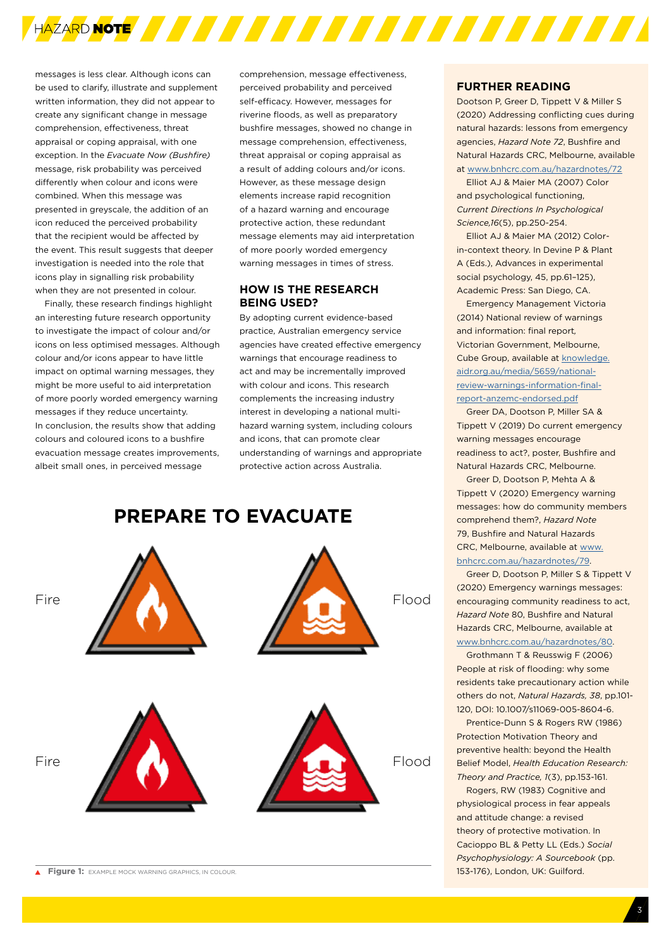

messages is less clear. Although icons can be used to clarify, illustrate and supplement written information, they did not appear to create any significant change in message comprehension, effectiveness, threat appraisal or coping appraisal, with one exception. In the *Evacuate Now (Bushfire)* message, risk probability was perceived differently when colour and icons were combined. When this message was presented in greyscale, the addition of an icon reduced the perceived probability that the recipient would be affected by the event. This result suggests that deeper investigation is needed into the role that icons play in signalling risk probability when they are not presented in colour.

Finally, these research findings highlight an interesting future research opportunity to investigate the impact of colour and/or icons on less optimised messages. Although colour and/or icons appear to have little impact on optimal warning messages, they might be more useful to aid interpretation of more poorly worded emergency warning messages if they reduce uncertainty. In conclusion, the results show that adding colours and coloured icons to a bushfire evacuation message creates improvements albeit small ones, in perceived message

comprehension, message effectiveness, perceived probability and perceived self-efficacy. However, messages for riverine floods, as well as preparatory bushfire messages, showed no change in message comprehension, effectiveness, threat appraisal or coping appraisal as a result of adding colours and/or icons. However, as these message design elements increase rapid recognition of a hazard warning and encourage protective action, these redundant message elements may aid interpretation of more poorly worded emergency warning messages in times of stress.

#### **HOW IS THE RESEARCH BEING USED?**

By adopting current evidence-based practice, Australian emergency service agencies have created effective emergency warnings that encourage readiness to act and may be incrementally improved with colour and icons. This research complements the increasing industry interest in developing a national multihazard warning system, including colours and icons, that can promote clear understanding of warnings and appropriate protective action across Australia.

### **PREPARE TO EVACUATE**



**Figure 1:** EXAMPLE MOCK WARNING GRAPHICS, IN COLOUR. 153-176), London, UK: Guilford.

#### **FURTHER READING**

Dootson P, Greer D, Tippett V & Miller S (2020) Addressing conflicting cues during natural hazards: lessons from emergency agencies, *Hazard Note 72*, Bushfire and Natural Hazards CRC, Melbourne, available at [www.bnhcrc.com.au/hazardnotes/72](http://www.bnhcrc.com.au/hazardnotes/72)

Elliot AJ & Maier MA (2007) Color and psychological functioning, *Current Directions In Psychological Science,16*(5), pp.250-254.

Elliot AJ & Maier MA (2012) Colorin-context theory. In Devine P & Plant A (Eds.), Advances in experimental social psychology, 45, pp.61–125), Academic Press: San Diego, CA.

Emergency Management Victoria (2014) National review of warnings and information: final report*,*  Victorian Government, Melbourne, Cube Group, available at [knowledge.](https://knowledge.aidr.org.au/media/5659/national-review-warnings-information-final-report-anzemc-endorsed.pdf) [aidr.org.au/media/5659/national](https://knowledge.aidr.org.au/media/5659/national-review-warnings-information-final-report-anzemc-endorsed.pdf)[review-warnings-information-final](https://knowledge.aidr.org.au/media/5659/national-review-warnings-information-final-report-anzemc-endorsed.pdf)[report-anzemc-endorsed.pdf](https://knowledge.aidr.org.au/media/5659/national-review-warnings-information-final-report-anzemc-endorsed.pdf)

Greer DA, Dootson P, Miller SA & Tippett V (2019) Do current emergency warning messages encourage readiness to act?, poster, Bushfire and Natural Hazards CRC, Melbourne.

Greer D, Dootson P, Mehta A & Tippett V (2020) Emergency warning messages: how do community members comprehend them?, *Hazard Note* 79, Bushfire and Natural Hazards CRC, Melbourne, available at www. bnhcrc.com.au/hazardnotes/79.

Greer D, Dootson P, Miller S & Tippett V (2020) Emergency warnings messages: encouraging community readiness to act, *Hazard Note* 80, Bushfire and Natural Hazards CRC, Melbourne, available at www.bnhcrc.com.au/hazardnotes/80.

Grothmann T & Reusswig F (2006) People at risk of flooding: why some residents take precautionary action while others do not, *Natural Hazards, 38*, pp.101- 120, DOI: 10.1007/s11069-005-8604-6.

Prentice-Dunn S & Rogers RW (1986) Protection Motivation Theory and preventive health: beyond the Health Belief Model, *Health Education Research: Theory and Practice, 1*(3), pp.153-161.

Rogers, RW (1983) Cognitive and physiological process in fear appeals and attitude change: a revised theory of protective motivation. In Cacioppo BL & Petty LL (Eds.) *Social Psychophysiology: A Sourcebook* (pp.